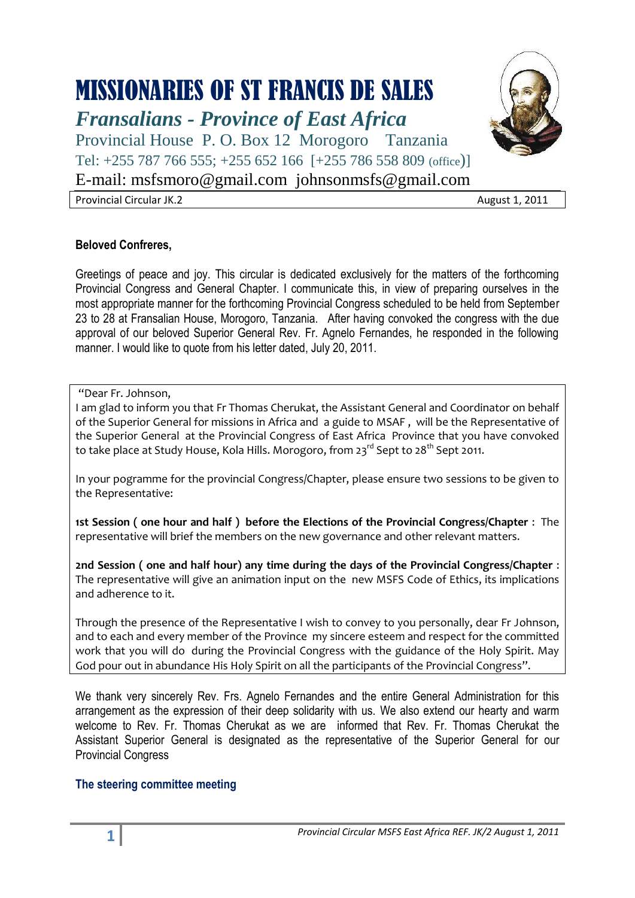# MISSIONARIES OF ST FRANCIS DE SALES

*Fransalians - Province of East Africa*

Provincial House P. O. Box 12 Morogoro Tanzania Tel: +255 787 766 555; +255 652 166 [+255 786 558 809 (office)]

E-mail: [msfsmoro@gmail.com](mailto:msfsmoro@gmail.com) johnsonmsfs@gmail.com

Provincial Circular JK.2 August 1, 2011

# **Beloved Confreres,**

Greetings of peace and joy. This circular is dedicated exclusively for the matters of the forthcoming Provincial Congress and General Chapter. I communicate this, in view of preparing ourselves in the most appropriate manner for the forthcoming Provincial Congress scheduled to be held from September 23 to 28 at Fransalian House, Morogoro, Tanzania. After having convoked the congress with the due approval of our beloved Superior General Rev. Fr. Agnelo Fernandes, he responded in the following manner. I would like to quote from his letter dated, July 20, 2011.

# "Dear Fr. Johnson,

I am glad to inform you that Fr Thomas Cherukat, the Assistant General and Coordinator on behalf of the Superior General for missions in Africa and a guide to MSAF , will be the Representative of the Superior General at the Provincial Congress of East Africa Province that you have convoked to take place at Study House, Kola Hills. Morogoro, from  $23^{\text{rd}}$  Sept to  $28^{\text{th}}$  Sept 2011.

In your pogramme for the provincial Congress/Chapter, please ensure two sessions to be given to the Representative:

**1st Session ( one hour and half ) before the Elections of the Provincial Congress/Chapter** : The representative will brief the members on the new governance and other relevant matters.

**2nd Session ( one and half hour) any time during the days of the Provincial Congress/Chapter** : The representative will give an animation input on the new MSFS Code of Ethics, its implications and adherence to it.

Through the presence of the Representative I wish to convey to you personally, dear Fr Johnson, and to each and every member of the Province my sincere esteem and respect for the committed work that you will do during the Provincial Congress with the guidance of the Holy Spirit. May God pour out in abundance His Holy Spirit on all the participants of the Provincial Congress".

We thank very sincerely Rev. Frs. Agnelo Fernandes and the entire General Administration for this arrangement as the expression of their deep solidarity with us. We also extend our hearty and warm welcome to Rev. Fr. Thomas Cherukat as we are informed that Rev. Fr. Thomas Cherukat the Assistant Superior General is designated as the representative of the Superior General for our Provincial Congress

# **The steering committee meeting**

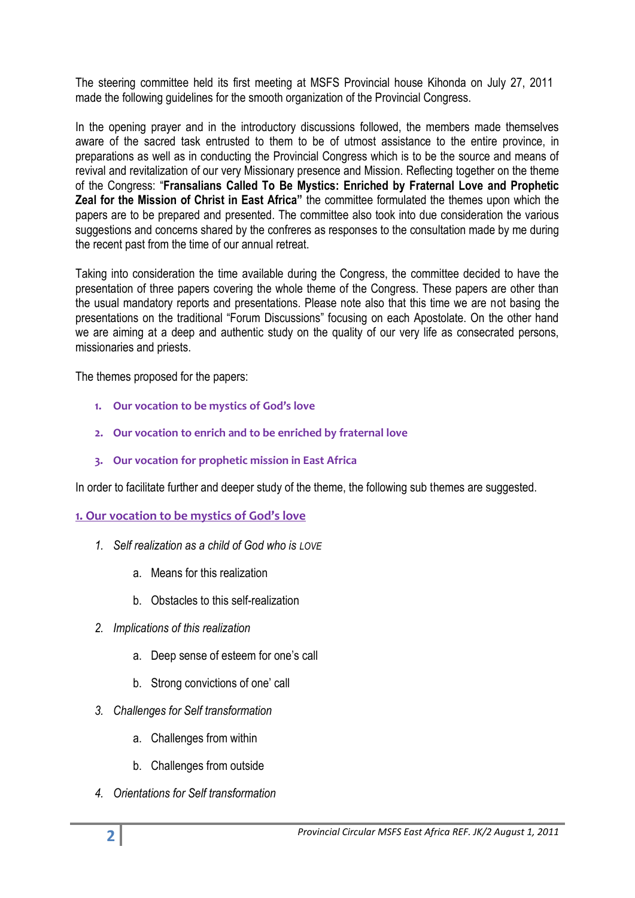The steering committee held its first meeting at MSFS Provincial house Kihonda on July 27, 2011 made the following guidelines for the smooth organization of the Provincial Congress.

In the opening prayer and in the introductory discussions followed, the members made themselves aware of the sacred task entrusted to them to be of utmost assistance to the entire province, in preparations as well as in conducting the Provincial Congress which is to be the source and means of revival and revitalization of our very Missionary presence and Mission. Reflecting together on the theme of the Congress: "**Fransalians Called To Be Mystics: Enriched by Fraternal Love and Prophetic Zeal for the Mission of Christ in East Africa"** the committee formulated the themes upon which the papers are to be prepared and presented. The committee also took into due consideration the various suggestions and concerns shared by the confreres as responses to the consultation made by me during the recent past from the time of our annual retreat.

Taking into consideration the time available during the Congress, the committee decided to have the presentation of three papers covering the whole theme of the Congress. These papers are other than the usual mandatory reports and presentations. Please note also that this time we are not basing the presentations on the traditional "Forum Discussions" focusing on each Apostolate. On the other hand we are aiming at a deep and authentic study on the quality of our very life as consecrated persons, missionaries and priests.

The themes proposed for the papers:

- **1. Our vocation to be mystics of God's love**
- **2. Our vocation to enrich and to be enriched by fraternal love**
- **3. Our vocation for prophetic mission in East Africa**

In order to facilitate further and deeper study of the theme, the following sub themes are suggested.

## **1. Our vocation to be mystics of God's love**

- *1. Self realization as a child of God who is LOVE*
	- a. Means for this realization
	- b. Obstacles to this self-realization
- *2. Implications of this realization*
	- a. Deep sense of esteem for one's call
	- b. Strong convictions of one' call
- *3. Challenges for Self transformation* 
	- a. Challenges from within
	- b. Challenges from outside
- *4. Orientations for Self transformation*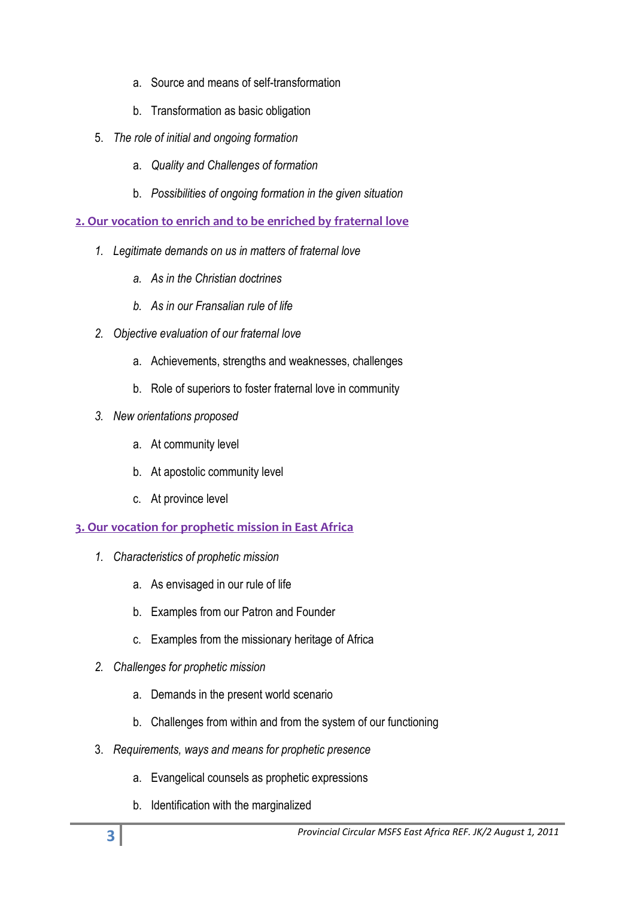- a. Source and means of self-transformation
- b. Transformation as basic obligation
- 5. *The role of initial and ongoing formation*
	- a. *Quality and Challenges of formation*
	- b. *Possibilities of ongoing formation in the given situation*

# **2. Our vocation to enrich and to be enriched by fraternal love**

- *1. Legitimate demands on us in matters of fraternal love*
	- *a. As in the Christian doctrines*
	- *b. As in our Fransalian rule of life*
- *2. Objective evaluation of our fraternal love*
	- a. Achievements, strengths and weaknesses, challenges
	- b. Role of superiors to foster fraternal love in community
- *3. New orientations proposed* 
	- a. At community level
	- b. At apostolic community level
	- c. At province level

# **3. Our vocation for prophetic mission in East Africa**

- *1. Characteristics of prophetic mission*
	- a. As envisaged in our rule of life
	- b. Examples from our Patron and Founder
	- c. Examples from the missionary heritage of Africa
- *2. Challenges for prophetic mission* 
	- a. Demands in the present world scenario
	- b. Challenges from within and from the system of our functioning
- 3. *Requirements, ways and means for prophetic presence* 
	- a. Evangelical counsels as prophetic expressions
	- b. Identification with the marginalized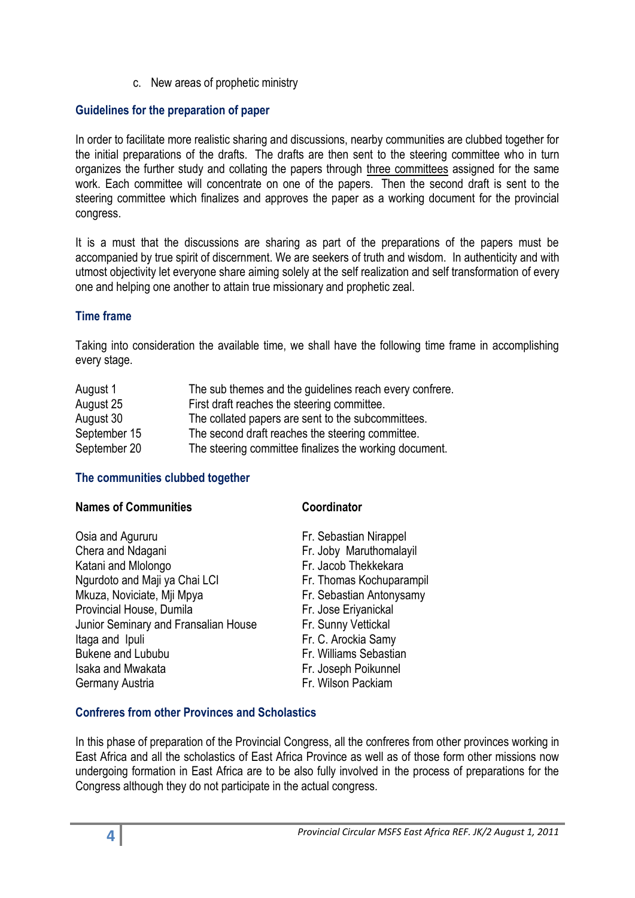c. New areas of prophetic ministry

# **Guidelines for the preparation of paper**

In order to facilitate more realistic sharing and discussions, nearby communities are clubbed together for the initial preparations of the drafts. The drafts are then sent to the steering committee who in turn organizes the further study and collating the papers through three committees assigned for the same work. Each committee will concentrate on one of the papers. Then the second draft is sent to the steering committee which finalizes and approves the paper as a working document for the provincial congress.

It is a must that the discussions are sharing as part of the preparations of the papers must be accompanied by true spirit of discernment. We are seekers of truth and wisdom. In authenticity and with utmost objectivity let everyone share aiming solely at the self realization and self transformation of every one and helping one another to attain true missionary and prophetic zeal.

# **Time frame**

Taking into consideration the available time, we shall have the following time frame in accomplishing every stage.

| August 1     | The sub themes and the guidelines reach every confrere. |
|--------------|---------------------------------------------------------|
| August 25    | First draft reaches the steering committee.             |
| August 30    | The collated papers are sent to the subcommittees.      |
| September 15 | The second draft reaches the steering committee.        |
| September 20 | The steering committee finalizes the working document.  |

# **The communities clubbed together**

| <b>Names of Communities</b>          | Coordinator              |  |
|--------------------------------------|--------------------------|--|
| Osia and Agururu                     | Fr. Sebastian Nirappel   |  |
| Chera and Ndagani                    | Fr. Joby Maruthomalayil  |  |
| Katani and Mlolongo                  | Fr. Jacob Thekkekara     |  |
| Ngurdoto and Maji ya Chai LCI        | Fr. Thomas Kochuparampil |  |
| Mkuza, Noviciate, Mji Mpya           | Fr. Sebastian Antonysamy |  |
| Provincial House, Dumila             | Fr. Jose Eriyanickal     |  |
| Junior Seminary and Fransalian House | Fr. Sunny Vettickal      |  |
| Itaga and Ipuli                      | Fr. C. Arockia Samy      |  |
| <b>Bukene and Lububu</b>             | Fr. Williams Sebastian   |  |
| Isaka and Mwakata                    | Fr. Joseph Poikunnel     |  |
| Germany Austria                      | Fr. Wilson Packiam       |  |
|                                      |                          |  |

# **Confreres from other Provinces and Scholastics**

In this phase of preparation of the Provincial Congress, all the confreres from other provinces working in East Africa and all the scholastics of East Africa Province as well as of those form other missions now undergoing formation in East Africa are to be also fully involved in the process of preparations for the Congress although they do not participate in the actual congress.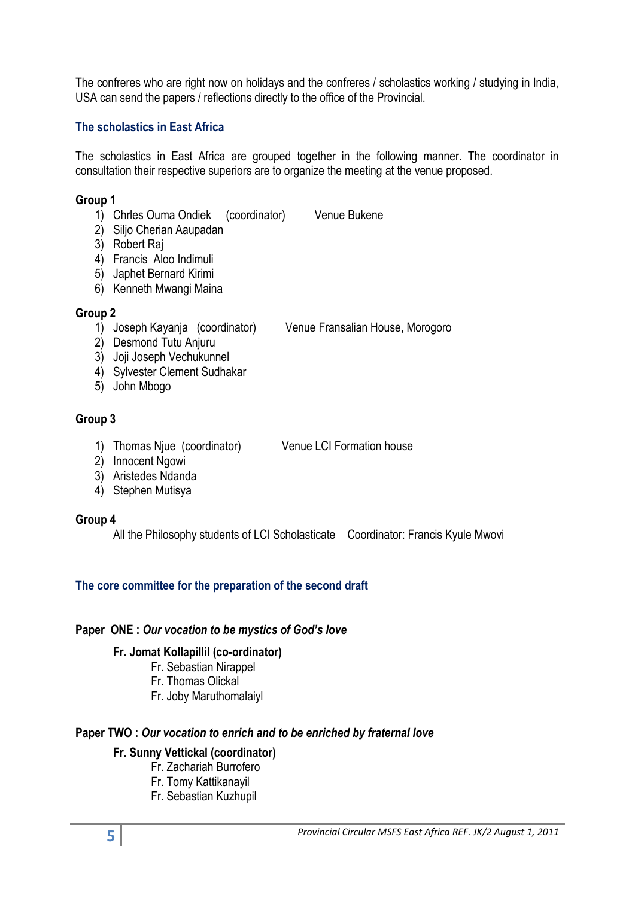The confreres who are right now on holidays and the confreres / scholastics working / studying in India, USA can send the papers / reflections directly to the office of the Provincial.

## **The scholastics in East Africa**

The scholastics in East Africa are grouped together in the following manner. The coordinator in consultation their respective superiors are to organize the meeting at the venue proposed.

## **Group 1**

- 1) Chrles Ouma Ondiek (coordinator) Venue Bukene
- 2) Siljo Cherian Aaupadan
- 3) Robert Raj
- 4) Francis Aloo Indimuli
- 5) Japhet Bernard Kirimi
- 6) Kenneth Mwangi Maina

# **Group 2**

1) Joseph Kayanja (coordinator) Venue Fransalian House, Morogoro

- 2) Desmond Tutu Anjuru
- 3) Joji Joseph Vechukunnel
- 4) Sylvester Clement Sudhakar
- 5) John Mbogo

# **Group 3**

- 1) Thomas Njue (coordinator) Venue LCI Formation house
- 2) Innocent Ngowi
- 3) Aristedes Ndanda
- 4) Stephen Mutisya

# **Group 4**

All the Philosophy students of LCI Scholasticate Coordinator: Francis Kyule Mwovi

# **The core committee for the preparation of the second draft**

# **Paper ONE :** *Our vocation to be mystics of God's love*

# **Fr. Jomat Kollapillil (co-ordinator)**

- Fr. Sebastian Nirappel
- Fr. Thomas Olickal
- Fr. Joby Maruthomalaiyl

# **Paper TWO :** *Our vocation to enrich and to be enriched by fraternal love*

# **Fr. Sunny Vettickal (coordinator)**

- Fr. Zachariah Burrofero
- Fr. Tomy Kattikanayil
- Fr. Sebastian Kuzhupil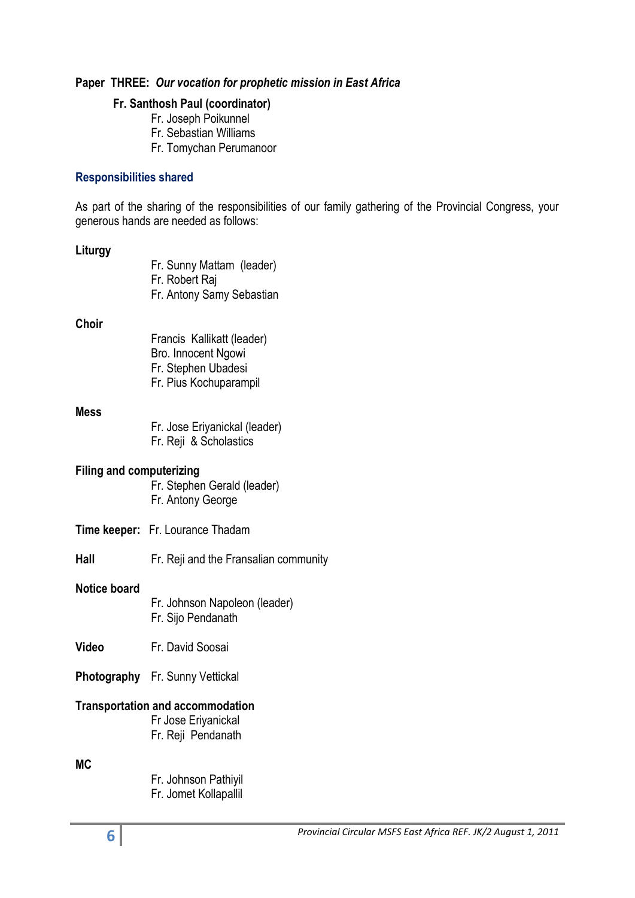## **Paper THREE:** *Our vocation for prophetic mission in East Africa*

#### **Fr. Santhosh Paul (coordinator)**

- Fr. Joseph Poikunnel Fr. Sebastian Williams
- 
- Fr. Tomychan Perumanoor

## **Responsibilities shared**

As part of the sharing of the responsibilities of our family gathering of the Provincial Congress, your generous hands are needed as follows:

### **Liturgy**

| Fr. Sunny Mattam (leader) |
|---------------------------|
| Fr. Robert Raj            |
| Fr. Antony Samy Sebastian |

#### **Choir**

Francis Kallikatt (leader) Bro. Innocent Ngowi Fr. Stephen Ubadesi Fr. Pius Kochuparampil

#### **Mess**

Fr. Jose Eriyanickal (leader) Fr. Reji & Scholastics

#### **Filing and computerizing**

Fr. Stephen Gerald (leader) Fr. Antony George

- **Time keeper:** Fr. Lourance Thadam
- **Hall** Fr. Reji and the Fransalian community

#### **Notice board**

- Fr. Johnson Napoleon (leader) Fr. Sijo Pendanath
- **Video** Fr. David Soosai

## **Photography** Fr. Sunny Vettickal

## **Transportation and accommodation**

Fr Jose Eriyanickal Fr. Reji Pendanath

# **MC**

Fr. Johnson Pathiyil Fr. Jomet Kollapallil